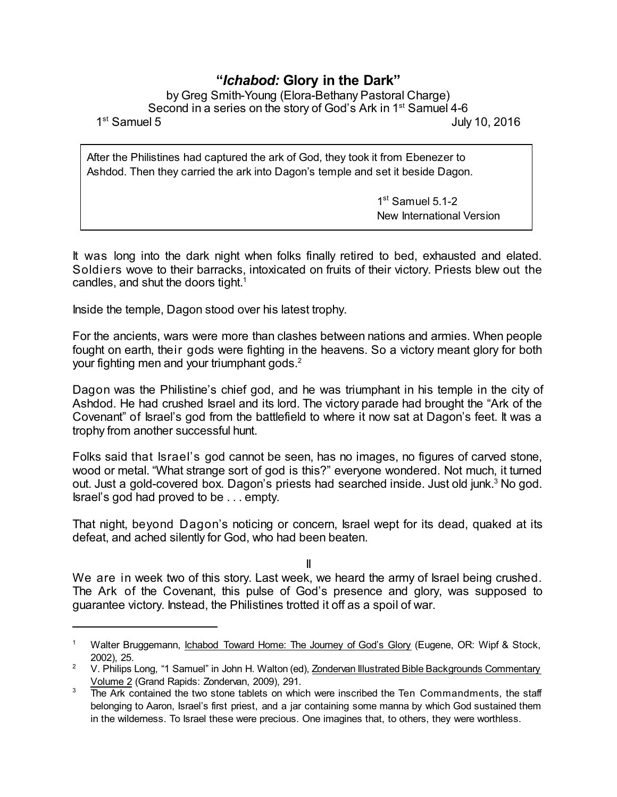## **"***Ichabod:* **Glory in the Dark"**

by Greg Smith-Young (Elora-Bethany Pastoral Charge) Second in a series on the story of God's Ark in 1<sup>st</sup> Samuel 4-6 1<sup>st</sup> Samuel 5 July 10, 2016

After the Philistines had captured the ark of God, they took it from Ebenezer to Ashdod. Then they carried the ark into Dagon's temple and set it beside Dagon.

> 1<sup>st</sup> Samuel 5.1-2 New International Version

It was long into the dark night when folks finally retired to bed, exhausted and elated. Soldiers wove to their barracks, intoxicated on fruits of their victory. Priests blew out the candles, and shut the doors tight. 1

Inside the temple, Dagon stood over his latest trophy.

For the ancients, wars were more than clashes between nations and armies. When people fought on earth, their gods were fighting in the heavens. So a victory meant glory for both your fighting men and your triumphant gods.<sup>2</sup>

Dagon was the Philistine's chief god, and he was triumphant in his temple in the city of Ashdod. He had crushed Israel and its lord. The victory parade had brought the "Ark of the Covenant" of Israel's god from the battlefield to where it now sat at Dagon's feet. It was a trophy from another successful hunt.

Folks said that Israel's god cannot be seen, has no images, no figures of carved stone, wood or metal. "What strange sort of god is this?" everyone wondered. Not much, it turned out. Just a gold-covered box. Dagon's priests had searched inside. Just old junk.<sup>3</sup> No god. Israel's god had proved to be . . . empty.

That night, beyond Dagon's noticing or concern, Israel wept for its dead, quaked at its defeat, and ached silently for God, who had been beaten.

II

We are in week two of this story. Last week, we heard the army of Israel being crushed. The Ark of the Covenant, this pulse of God's presence and glory, was supposed to guarantee victory. Instead, the Philistines trotted it off as a spoil of war.

<sup>1</sup> Walter Bruggemann, Ichabod Toward Home: The Journey of God's Glory (Eugene, OR: Wipf & Stock, 2002), 25.

<sup>&</sup>lt;sup>2</sup> V. Philips Long, "1 Samuel" in John H. Walton (ed), Zondervan Illustrated Bible Backgrounds Commentary Volume 2 (Grand Rapids: Zondervan, 2009), 291.

 $3$  The Ark contained the two stone tablets on which were inscribed the Ten Commandments, the staff belonging to Aaron, Israel's first priest, and a jar containing some manna by which God sustained them in the wilderness. To Israel these were precious. One imagines that, to others, they were worthless.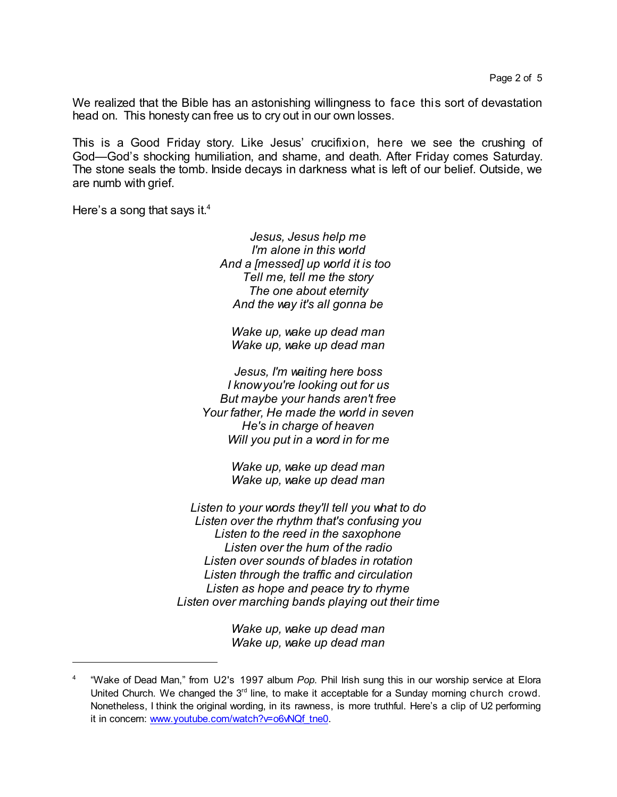We realized that the Bible has an astonishing willingness to face this sort of devastation head on. This honesty can free us to cry out in our own losses.

This is a Good Friday story. Like Jesus' crucifixion, here we see the crushing of God—God's shocking humiliation, and shame, and death. After Friday comes Saturday. The stone seals the tomb. Inside decays in darkness what is left of our belief. Outside, we are numb with grief.

Here's a song that says it.<sup>4</sup>

*Jesus, Jesus help me I'm alone in this world And a [messed] up world it is too Tell me, tell me the story The one about eternity And the way it's all gonna be*

*Wake up, wake up dead man Wake up, wake up dead man*

*Jesus, I'm waiting here boss I knowyou're looking out for us But maybe your hands aren't free Your father, He made the world in seven He's in charge of heaven Will you put in a word in for me*

> *Wake up, wake up dead man Wake up, wake up dead man*

*Listen to your words they'll tell you what to do Listen over the rhythm that's confusing you Listen to the reed in the saxophone Listen over the hum of the radio Listen over sounds of blades in rotation Listen through the traffic and circulation Listen as hope and peace try to rhyme Listen over marching bands playing out their time*

> *Wake up, wake up dead man Wake up, wake up dead man*

<sup>4</sup> "Wake of Dead Man," from U2's 1997 album *Pop*. Phil Irish sung this in our worship service at Elora United Church. We changed the  $3<sup>rd</sup>$  line, to make it acceptable for a Sunday morning church crowd. Nonetheless, I think the original wording, in its rawness, is more truthful. Here's a clip of U2 performing it in concern: [www.youtube.com/watch?v=o6vNQf\\_tne0](https://www.youtube.com/watch?v=o6vNQf_tne0).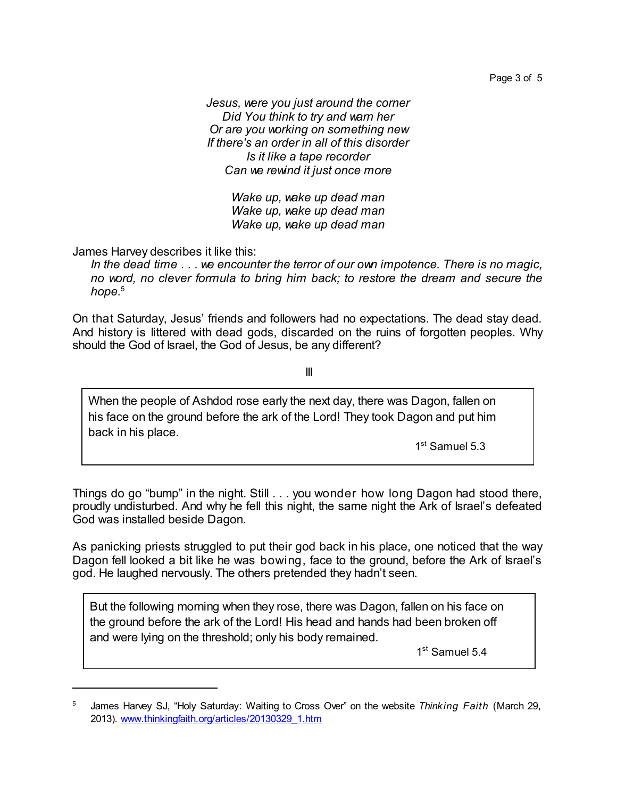*Jesus, were you just around the corner Did You think to try and warn her Or are you working on something new If there's an order in all of this disorder Is it like a tape recorder Can we rewind it just once more*

> *Wake up, wake up dead man Wake up, wake up dead man Wake up, wake up dead man*

James Harvey describes it like this:

*In the dead time . . . we encounter the terror of our own impotence. There is no magic, no word, no clever formula to bring him back; to restore the dream and secure the hope.*<sup>5</sup>

On that Saturday, Jesus' friends and followers had no expectations. The dead stay dead. And history is littered with dead gods, discarded on the ruins of forgotten peoples. Why should the God of Israel, the God of Jesus, be any different?

III

When the people of Ashdod rose early the next day, there was Dagon, fallen on his face on the ground before the ark of the Lord! They took Dagon and put him back in his place.

1<sup>st</sup> Samuel 5.3

Things do go "bump" in the night. Still . . . you wonder how long Dagon had stood there, proudly undisturbed. And why he fell this night, the same night the Ark of Israel's defeated God was installed beside Dagon.

As panicking priests struggled to put their god back in his place, one noticed that the way Dagon fell looked a bit like he was bowing, face to the ground, before the Ark of Israel's god. He laughed nervously. The others pretended they hadn't seen.

But the following morning when they rose, there was Dagon, fallen on his face on the ground before the ark of the Lord! His head and hands had been broken off and were lying on the threshold; only his body remained.

1<sup>st</sup> Samuel 5.4

<sup>5</sup> James Harvey SJ, "Holy Saturday: Waiting to Cross Over" on the website *Thinking Faith* (March 29, 2013). [www.thinkingfaith.org/articles/20130329\\_1.htm](http://www.thinkingfaith.org/articles/20130329_1.htm)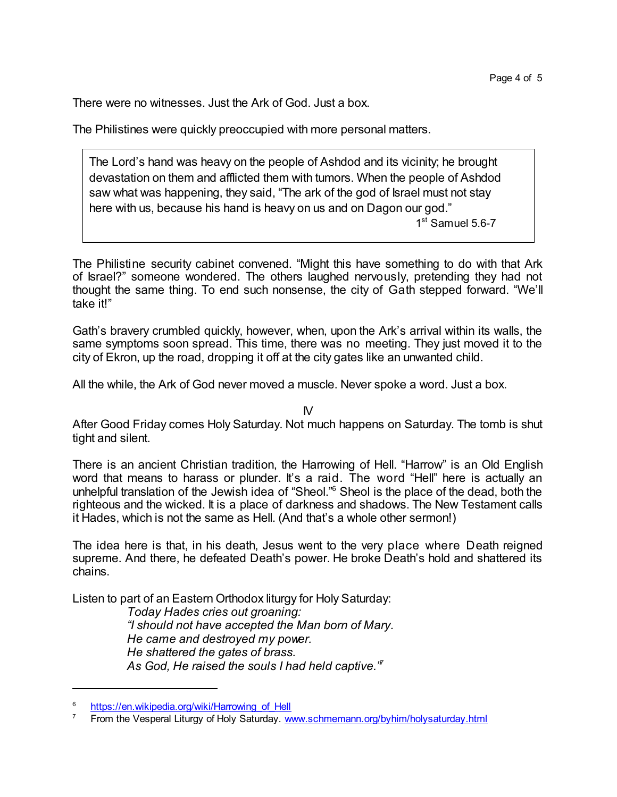There were no witnesses. Just the Ark of God. Just a box.

The Philistines were quickly preoccupied with more personal matters.

The Lord's hand was heavy on the people of Ashdod and its vicinity; he brought devastation on them and afflicted them with tumors. When the people of Ashdod saw what was happening, they said, "The ark of the god of Israel must not stay here with us, because his hand is heavy on us and on Dagon our god."

1<sup>st</sup> Samuel 5.6-7

The Philistine security cabinet convened. "Might this have something to do with that Ark of Israel?" someone wondered. The others laughed nervously, pretending they had not thought the same thing. To end such nonsense, the city of Gath stepped forward. "We'll take it!"

Gath's bravery crumbled quickly, however, when, upon the Ark's arrival within its walls, the same symptoms soon spread. This time, there was no meeting. They just moved it to the city of Ekron, up the road, dropping it off at the city gates like an unwanted child.

All the while, the Ark of God never moved a muscle. Never spoke a word. Just a box.

 $\mathsf{N}$ 

After Good Friday comes Holy Saturday. Not much happens on Saturday. The tomb is shut tight and silent.

There is an ancient Christian tradition, the Harrowing of Hell. "Harrow" is an Old English word that means to harass or plunder. It's a raid. The word "Hell" here is actually an unhelpful translation of the Jewish idea of "Sheol." <sup>6</sup> Sheol is the place of the dead, both the righteous and the wicked. It is a place of darkness and shadows. The New Testament calls it Hades, which is not the same as Hell. (And that's a whole other sermon!)

The idea here is that, in his death, Jesus went to the very place where Death reigned supreme. And there, he defeated Death's power. He broke Death's hold and shattered its chains.

Listen to part of an Eastern Orthodox liturgy for Holy Saturday:

*Today Hades cries out groaning: "I should not have accepted the Man born of Mary. He came and destroyed my power. He shattered the gates of brass. As God, He raised the souls I had held captive." 7*

[https://en.wikipedia.org/wiki/Harrowing\\_of\\_Hell](https://en.wikipedia.org/wiki/Harrowing_of_Hell)

<sup>&</sup>lt;sup>7</sup> From the Vesperal Liturgy of Holy Saturday. [www.schmemann.org/byhim/holysaturday.html](http://www.schmemann.org/byhim/holysaturday.html)